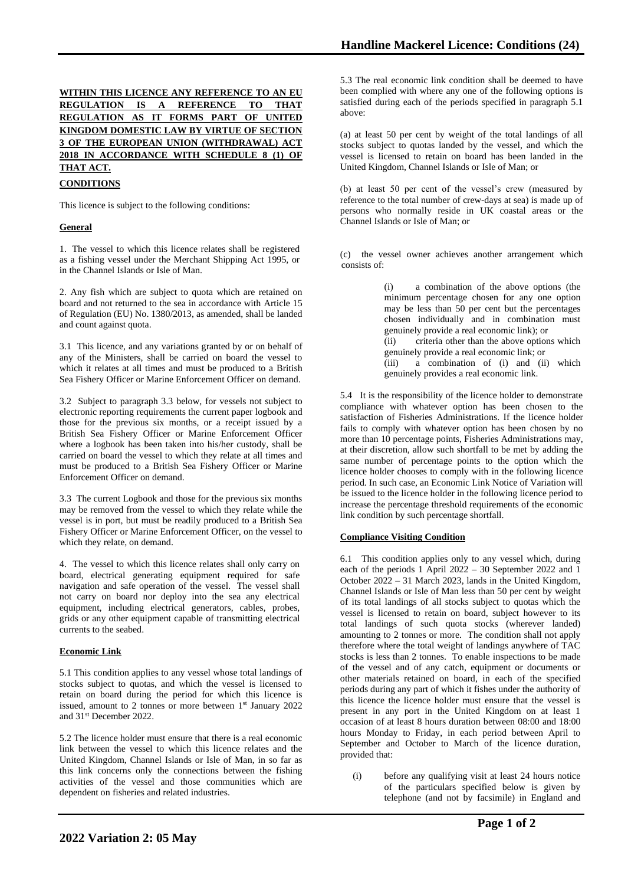# **WITHIN THIS LICENCE ANY REFERENCE TO AN EU REGULATION IS A REFERENCE TO THAT REGULATION AS IT FORMS PART OF UNITED KINGDOM DOMESTIC LAW BY VIRTUE OF SECTION 3 OF THE EUROPEAN UNION (WITHDRAWAL) ACT 2018 IN ACCORDANCE WITH SCHEDULE 8 (1) OF THAT ACT.**

## **CONDITIONS**

This licence is subject to the following conditions:

### **General**

1. The vessel to which this licence relates shall be registered as a fishing vessel under the Merchant Shipping Act 1995, or in the Channel Islands or Isle of Man.

2. Any fish which are subject to quota which are retained on board and not returned to the sea in accordance with Article 15 of Regulation (EU) No. 1380/2013, as amended, shall be landed and count against quota.

3.1 This licence, and any variations granted by or on behalf of any of the Ministers, shall be carried on board the vessel to which it relates at all times and must be produced to a British Sea Fishery Officer or Marine Enforcement Officer on demand.

3.2 Subject to paragraph 3.3 below, for vessels not subject to electronic reporting requirements the current paper logbook and those for the previous six months, or a receipt issued by a British Sea Fishery Officer or Marine Enforcement Officer where a logbook has been taken into his/her custody, shall be carried on board the vessel to which they relate at all times and must be produced to a British Sea Fishery Officer or Marine Enforcement Officer on demand.

3.3 The current Logbook and those for the previous six months may be removed from the vessel to which they relate while the vessel is in port, but must be readily produced to a British Sea Fishery Officer or Marine Enforcement Officer, on the vessel to which they relate, on demand.

4. The vessel to which this licence relates shall only carry on board, electrical generating equipment required for safe navigation and safe operation of the vessel. The vessel shall not carry on board nor deploy into the sea any electrical equipment, including electrical generators, cables, probes, grids or any other equipment capable of transmitting electrical currents to the seabed.

#### **Economic Link**

5.1 This condition applies to any vessel whose total landings of stocks subject to quotas, and which the vessel is licensed to retain on board during the period for which this licence is issued, amount to 2 tonnes or more between 1st January 2022 and 31st December 2022.

5.2 The licence holder must ensure that there is a real economic link between the vessel to which this licence relates and the United Kingdom, Channel Islands or Isle of Man, in so far as this link concerns only the connections between the fishing activities of the vessel and those communities which are dependent on fisheries and related industries.

5.3 The real economic link condition shall be deemed to have been complied with where any one of the following options is satisfied during each of the periods specified in paragraph 5.1 above:

(a) at least 50 per cent by weight of the total landings of all stocks subject to quotas landed by the vessel, and which the vessel is licensed to retain on board has been landed in the United Kingdom, Channel Islands or Isle of Man; or

(b) at least 50 per cent of the vessel's crew (measured by reference to the total number of crew-days at sea) is made up of persons who normally reside in UK coastal areas or the Channel Islands or Isle of Man; or

(c) the vessel owner achieves another arrangement which consists of:

> (i) a combination of the above options (the minimum percentage chosen for any one option may be less than 50 per cent but the percentages chosen individually and in combination must genuinely provide a real economic link); or (ii) criteria other than the above options which genuinely provide a real economic link; or (iii) a combination of (i) and (ii) which genuinely provides a real economic link.

5.4 It is the responsibility of the licence holder to demonstrate compliance with whatever option has been chosen to the satisfaction of Fisheries Administrations. If the licence holder fails to comply with whatever option has been chosen by no more than 10 percentage points, Fisheries Administrations may, at their discretion, allow such shortfall to be met by adding the same number of percentage points to the option which the licence holder chooses to comply with in the following licence period. In such case, an Economic Link Notice of Variation will be issued to the licence holder in the following licence period to increase the percentage threshold requirements of the economic link condition by such percentage shortfall.

### **Compliance Visiting Condition**

6.1 This condition applies only to any vessel which, during each of the periods 1 April 2022 – 30 September 2022 and 1 October 2022 – 31 March 2023, lands in the United Kingdom, Channel Islands or Isle of Man less than 50 per cent by weight of its total landings of all stocks subject to quotas which the vessel is licensed to retain on board, subject however to its total landings of such quota stocks (wherever landed) amounting to 2 tonnes or more. The condition shall not apply therefore where the total weight of landings anywhere of TAC stocks is less than 2 tonnes. To enable inspections to be made of the vessel and of any catch, equipment or documents or other materials retained on board, in each of the specified periods during any part of which it fishes under the authority of this licence the licence holder must ensure that the vessel is present in any port in the United Kingdom on at least 1 occasion of at least 8 hours duration between 08:00 and 18:00 hours Monday to Friday, in each period between April to September and October to March of the licence duration, provided that:

(i) before any qualifying visit at least 24 hours notice of the particulars specified below is given by telephone (and not by facsimile) in England and